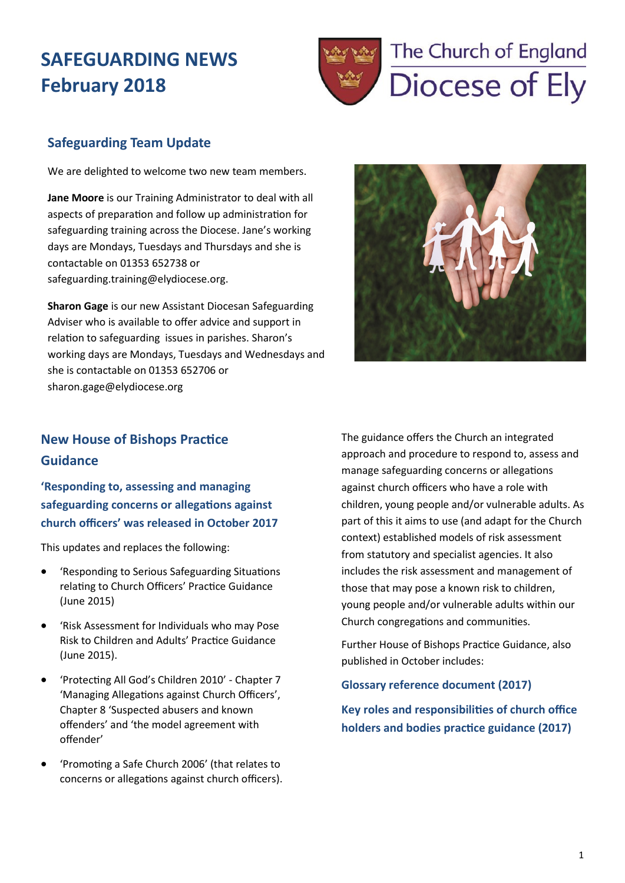## **SAFEGUARDING NEWS February 2018**



## **Safeguarding Team Update**

We are delighted to welcome two new team members.

**Jane Moore** is our Training Administrator to deal with all aspects of preparation and follow up administration for safeguarding training across the Diocese. Jane's working days are Mondays, Tuesdays and Thursdays and she is contactable on 01353 652738 or safeguarding.training@elydiocese.org.

**Sharon Gage** is our new Assistant Diocesan Safeguarding Adviser who is available to offer advice and support in relation to safeguarding issues in parishes. Sharon's working days are Mondays, Tuesdays and Wednesdays and she is contactable on 01353 652706 or sharon.gage@elydiocese.org



## **New House of Bishops Practice Guidance**

**'Responding to, assessing and managing safeguarding concerns or allegations against church officers' was released in October 2017**

This updates and replaces the following:

- 'Responding to Serious Safeguarding Situations relating to Church Officers' Practice Guidance (June 2015)
- 'Risk Assessment for Individuals who may Pose Risk to Children and Adults' Practice Guidance (June 2015).
- 'Protecting All God's Children 2010' Chapter 7 'Managing Allegations against Church Officers', Chapter 8 'Suspected abusers and known offenders' and 'the model agreement with offender'
- 'Promoting a Safe Church 2006' (that relates to concerns or allegations against church officers).

The guidance offers the Church an integrated approach and procedure to respond to, assess and manage safeguarding concerns or allegations against church officers who have a role with children, young people and/or vulnerable adults. As part of this it aims to use (and adapt for the Church context) established models of risk assessment from statutory and specialist agencies. It also includes the risk assessment and management of those that may pose a known risk to children, young people and/or vulnerable adults within our Church congregations and communities.

Further House of Bishops Practice Guidance, also published in October includes:

#### **[Glossary reference document \(2017\)](http://www.elydiocese.org/download_file/view/2322/977)**

**K[ey roles and responsibilities of church office](http://www.elydiocese.org/download_file/view/2323/977)  [holders and bodies practice guidance \(2017\)](http://www.elydiocese.org/download_file/view/2323/977)**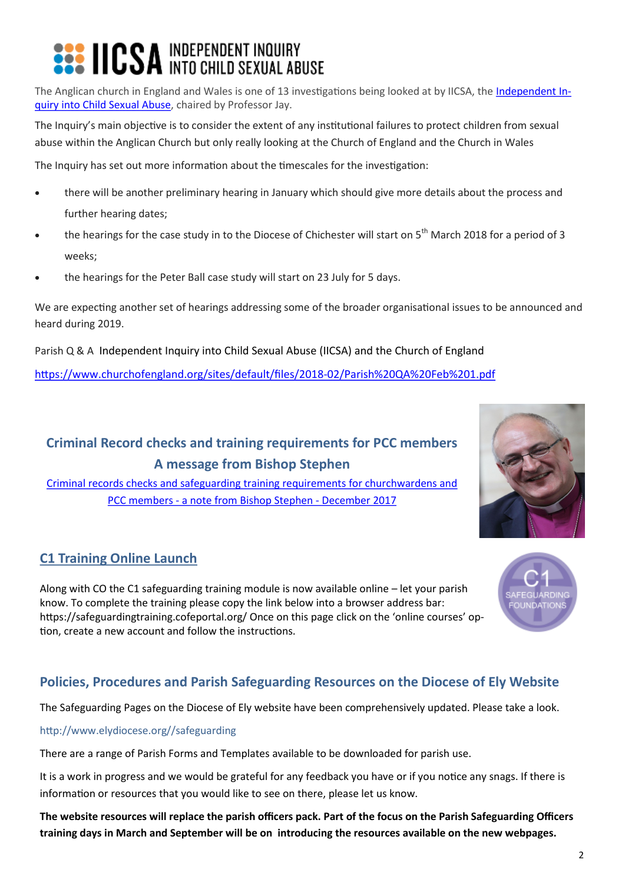# **<b>222 IICSA** INDEPENDENT INQUIRY

The Anglican church in England and Wales is one of 13 investigations being looked at by IICSA, the [Independent In](https://www.iicsa.org.uk/)[quiry into Child Sexual Abuse,](https://www.iicsa.org.uk/) chaired by Professor Jay.

The Inquiry's main objective is to consider the extent of any institutional failures to protect children from sexual abuse within the Anglican Church but only really looking at the Church of England and the Church in Wales

The Inquiry has set out more information about the timescales for the investigation:

- there will be another preliminary hearing in January which should give more details about the process and further hearing dates;
- the hearings for the case study in to the Diocese of Chichester will start on  $5<sup>th</sup>$  March 2018 for a period of 3 weeks;
- the hearings for the Peter Ball case study will start on 23 July for 5 days.

We are expecting another set of hearings addressing some of the broader organisational issues to be announced and heard during 2019.

Parish Q & A Independent Inquiry into Child Sexual Abuse (IICSA) and the Church of England

[https://www.churchofengland.org/sites/default/files/2018](https://www.churchofengland.org/sites/default/files/2018-02/Parish%20QA%20Feb%201.pdf)-02/Parish%20QA%20Feb%201.pdf

## **Criminal Record checks and training requirements for PCC members A message from Bishop Stephen**

[Criminal records checks and safeguarding training requirements for churchwardens and](http://www.elydiocese.org/download_file/view/2430/977)  PCC members - [a note from Bishop Stephen](http://www.elydiocese.org/download_file/view/2430/977) - December 2017

## **C1 Training Online Launch**

Along with CO the C1 safeguarding training module is now available online – let your parish know. To complete the training please copy the link below into a browser address bar: https://safeguardingtraining.cofeportal.org/ Once on this page click on the 'online courses' option, create a new account and follow the instructions.

## **Policies, Procedures and Parish Safeguarding Resources on the Diocese of Ely Website**

The Safeguarding Pages on the Diocese of Ely website have been comprehensively updated. Please take a look.

#### http://www.elydiocese.org//safeguarding

There are a range of Parish Forms and Templates available to be downloaded for parish use.

It is a work in progress and we would be grateful for any feedback you have or if you notice any snags. If there is information or resources that you would like to see on there, please let us know.

**The website resources will replace the parish officers pack. Part of the focus on the Parish Safeguarding Officers training days in March and September will be on introducing the resources available on the new webpages.**



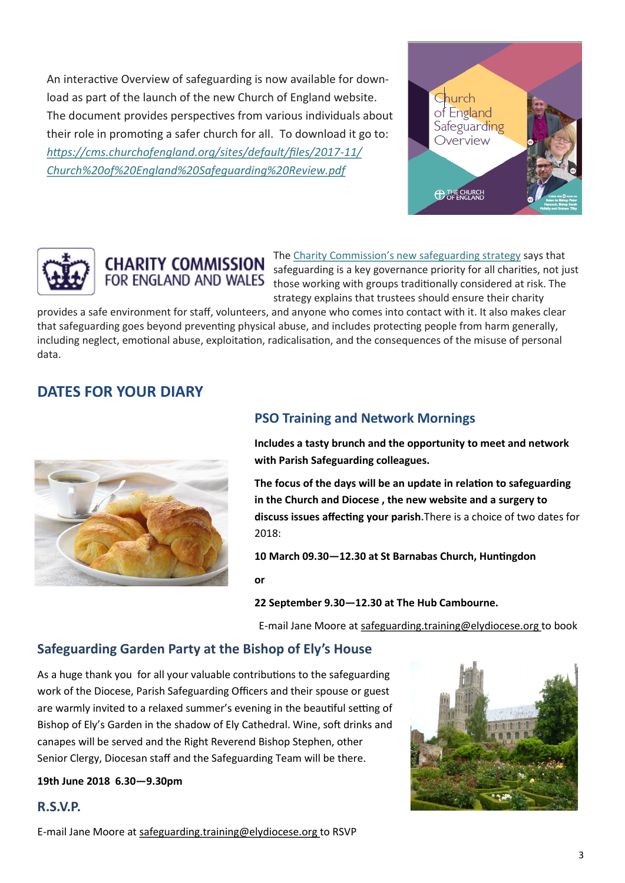An interactive Overview of safeguarding is now available for download as part of the launch of the new Church of England website. The document provides perspectives from various individuals about their role in promoting a safer church for all. To download it go to: *[https://cms.churchofengland.org/sites/default/files/2017](https://churchofengland.us13.list-manage.com/track/click?u=3887309b64f764b2cfb42765d&id=cd62ebb1f5&e=7da2a51823)-11/ [Church%20of%20Engla](https://churchofengland.us13.list-manage.com/track/click?u=3887309b64f764b2cfb42765d&id=cd62ebb1f5&e=7da2a51823)[nd%20Safeguarding%20Review.pdf](https://churchofengland.us13.list-manage.com/track/click?u=3887309b64f764b2cfb42765d&id=1696e83e07&e=7da2a51823)*







The [Charity Commission's new safeguarding strategy](https://churchofengland.us13.list-manage.com/track/click?u=3887309b64f764b2cfb42765d&id=915d931e56&e=16838afce8) says that safeguarding is a key governance priority for all charities, not just those working with groups traditionally considered at risk. The strategy explains that trustees should ensure their charity

provides a safe environment for staff, volunteers, and anyone who comes into contact with it. It also makes clear that safeguarding goes beyond preventing physical abuse, and includes protecting people from harm generally, including neglect, emotional abuse, exploitation, radicalisation, and the consequences of the misuse of personal data.

## **DATES FOR YOUR DIARY**



## **PSO Training and Network Mornings**

**Includes a tasty brunch and the opportunity to meet and network with Parish Safeguarding colleagues.** 

**The focus of the days will be an update in relation to safeguarding in the Church and Diocese , the new website and a surgery to discuss issues affecting your parish.**There is a choice of two dates for 2018:

**10 March 09.30—12.30 at St Barnabas Church, Huntingdon** 

**or**

**22 September 9.30—12.30 at The Hub Cambourne.** 

E-mail Jane Moore at safeguarding.training@elydiocese.org to book

#### **Safeguarding Garden Party at the Bishop of Ely's House**

As a huge thank you for all your valuable contributions to the safeguarding work of the Diocese, Parish Safeguarding Officers and their spouse or guest are warmly invited to a relaxed summer's evening in the beautiful setting of Bishop of Ely's Garden in the shadow of Ely Cathedral. Wine, soft drinks and canapes will be served and the Right Reverend Bishop Stephen, other Senior Clergy, Diocesan staff and the Safeguarding Team will be there.

#### **19th June 2018 6.30—9.30pm**

#### **R.S.V.P.**

E-mail Jane Moore at safeguarding.training@elydiocese.org to RSVP